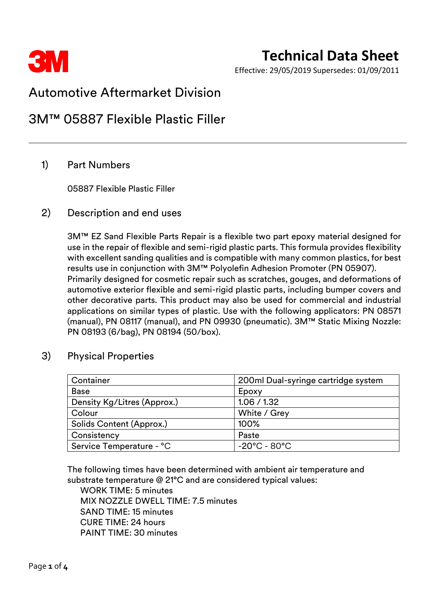

Effective: 29/05/2019 Supersedes: 01/09/2011

# Automotive Aftermarket Division

# 3M™ 05887 Flexible Plastic Filler

# 1) Part Numbers

05887 Flexible Plastic Filler

## 2) Description and end uses

3M™ EZ Sand Flexible Parts Repair is a flexible two part epoxy material designed for use in the repair of flexible and semi-rigid plastic parts. This formula provides flexibility with excellent sanding qualities and is compatible with many common plastics, for best results use in conjunction with 3M™ Polyolefin Adhesion Promoter (PN 05907). Primarily designed for cosmetic repair such as scratches, gouges, and deformations of automotive exterior flexible and semi-rigid plastic parts, including bumper covers and other decorative parts. This product may also be used for commercial and industrial applications on similar types of plastic. Use with the following applicators: PN 08571 (manual), PN 08117 (manual), and PN 09930 (pneumatic). 3M™ Static Mixing Nozzle: PN 08193 (6/bag), PN 08194 (50/box).

### 3) Physical Properties

| Container                   | 200ml Dual-syringe cartridge system |
|-----------------------------|-------------------------------------|
| <b>Base</b>                 | Epoxy                               |
| Density Kg/Litres (Approx.) | 1.06 / 1.32                         |
| Colour                      | White / Grey                        |
| Solids Content (Approx.)    | 100%                                |
| Consistency                 | Paste                               |
| Service Temperature - °C    | $-20^{\circ}$ C - 80 $^{\circ}$ C   |

The following times have been determined with ambient air temperature and substrate temperature @ 21°C and are considered typical values:

WORK TIME: 5 minutes MIX NOZZLE DWELL TIME: 7.5 minutes SAND TIME: 15 minutes CURE TIME: 24 hours PAINT TIME: 30 minutes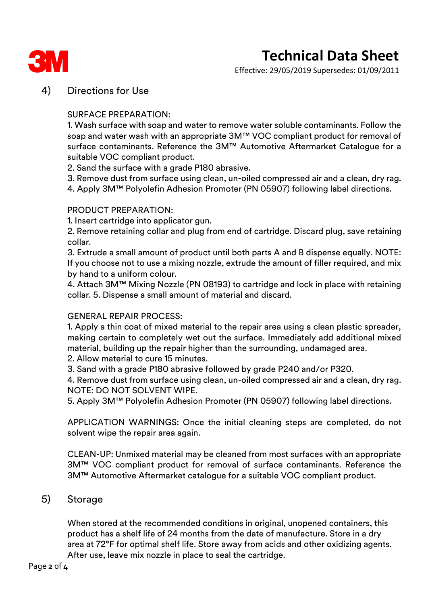

# **Technical Data Sheet**

Effective: 29/05/2019 Supersedes: 01/09/2011

# 4) Directions for Use

#### SURFACE PREPARATION:

1. Wash surface with soap and water to remove water soluble contaminants. Follow the soap and water wash with an appropriate 3M™ VOC compliant product for removal of surface contaminants. Reference the 3M™ Automotive Aftermarket Catalogue for a suitable VOC compliant product.

- 2. Sand the surface with a grade P180 abrasive.
- 3. Remove dust from surface using clean, un-oiled compressed air and a clean, dry rag.
- 4. Apply 3M™ Polyolefin Adhesion Promoter (PN 05907) following label directions.

#### PRODUCT PREPARATION:

1. Insert cartridge into applicator gun.

2. Remove retaining collar and plug from end of cartridge. Discard plug, save retaining collar.

3. Extrude a small amount of product until both parts A and B dispense equally. NOTE: If you choose not to use a mixing nozzle, extrude the amount of filler required, and mix by hand to a uniform colour.

4. Attach 3M™ Mixing Nozzle (PN 08193) to cartridge and lock in place with retaining collar. 5. Dispense a small amount of material and discard.

#### GENERAL REPAIR PROCESS:

1. Apply a thin coat of mixed material to the repair area using a clean plastic spreader, making certain to completely wet out the surface. Immediately add additional mixed material, building up the repair higher than the surrounding, undamaged area.

- 2. Allow material to cure 15 minutes.
- 3. Sand with a grade P180 abrasive followed by grade P240 and/or P320.

4. Remove dust from surface using clean, un-oiled compressed air and a clean, dry rag. NOTE: DO NOT SOLVENT WIPE.

5. Apply 3M™ Polyolefin Adhesion Promoter (PN 05907) following label directions.

APPLICATION WARNINGS: Once the initial cleaning steps are completed, do not solvent wipe the repair area again.

CLEAN-UP: Unmixed material may be cleaned from most surfaces with an appropriate 3M™ VOC compliant product for removal of surface contaminants. Reference the 3M™ Automotive Aftermarket catalogue for a suitable VOC compliant product.

## 5) Storage

When stored at the recommended conditions in original, unopened containers, this product has a shelf life of 24 months from the date of manufacture. Store in a dry area at 72°F for optimal shelf life. Store away from acids and other oxidizing agents. After use, leave mix nozzle in place to seal the cartridge.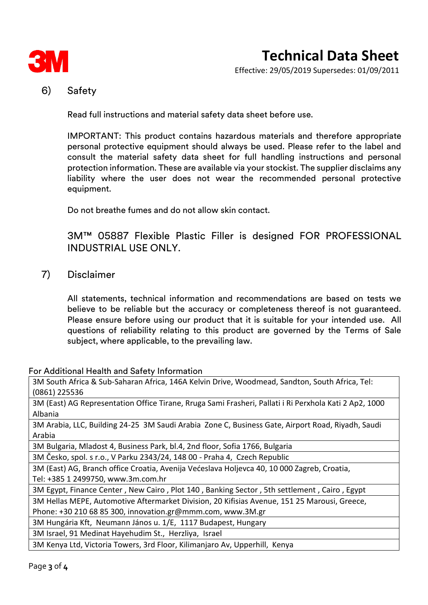

Effective: 29/05/2019 Supersedes: 01/09/2011

# 6) Safety

Read full instructions and material safety data sheet before use.

IMPORTANT: This product contains hazardous materials and therefore appropriate personal protective equipment should always be used. Please refer to the label and consult the material safety data sheet for full handling instructions and personal protection information. These are available via your stockist. The supplier disclaims any liability where the user does not wear the recommended personal protective equipment.

Do not breathe fumes and do not allow skin contact.

3M™ 05887 Flexible Plastic Filler is designed FOR PROFESSIONAL INDUSTRIAL USE ONLY.

7) Disclaimer

All statements, technical information and recommendations are based on tests we believe to be reliable but the accuracy or completeness thereof is not guaranteed. Please ensure before using our product that it is suitable for your intended use. All questions of reliability relating to this product are governed by the Terms of Sale subject, where applicable, to the prevailing law.

#### For Additional Health and Safety Information

3M South Africa & Sub-Saharan Africa, 146A Kelvin Drive, Woodmead, Sandton, South Africa, Tel: (0861) 225536

3M (East) AG Representation Office Tirane, Rruga Sami Frasheri, Pallati i Ri Perxhola Kati 2 Ap2, 1000 Albania

3M Arabia, LLC, Building 24-25 3M Saudi Arabia Zone C, Business Gate, Airport Road, Riyadh, Saudi Arabia

3M Bulgaria, Mladost 4, Business Park, bl.4, 2nd floor, Sofia 1766, Bulgaria

3M Česko, spol. s r.o., V Parku 2343/24, 148 00 - Praha 4, Czech Republic

3M (East) AG, Branch office Croatia, Avenija Većeslava Holjevca 40, 10 000 Zagreb, Croatia, Tel: +385 1 2499750, www.3m.com.hr

3M Egypt, Finance Center , New Cairo , Plot 140 , Banking Sector , 5th settlement , Cairo , Egypt

3M Hellas MEPE, Automotive Aftermarket Division, 20 Kifisias Avenue, 151 25 Marousi, Greece,

Phone: +30 210 68 85 300, innovation.gr@mmm.com, www.3M.gr

3M Hungária Kft, Neumann János u. 1/E, 1117 Budapest, Hungary

3M Israel, 91 Medinat Hayehudim St., Herzliya, Israel

3M Kenya Ltd, Victoria Towers, 3rd Floor, Kilimanjaro Av, Upperhill, Kenya